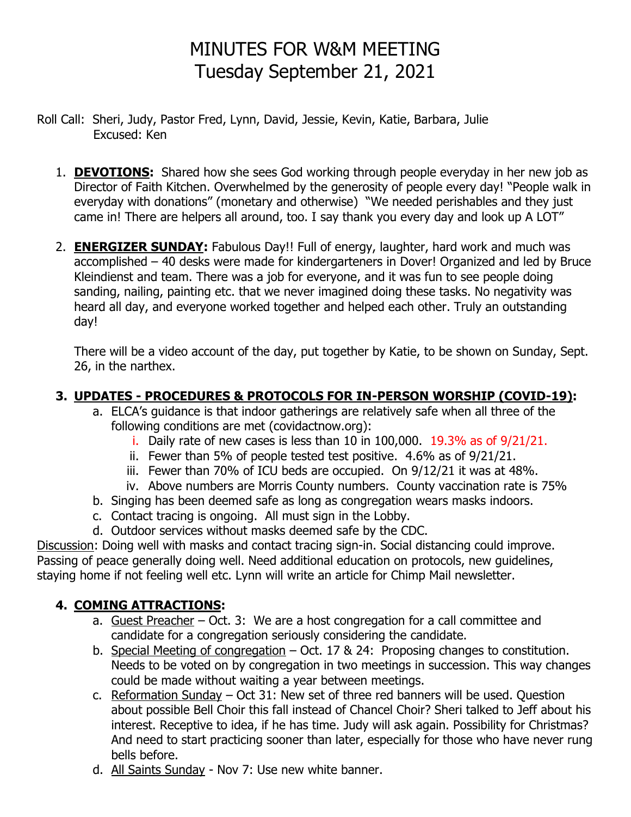# MINUTES FOR W&M MEETING Tuesday September 21, 2021

- Roll Call: Sheri, Judy, Pastor Fred, Lynn, David, Jessie, Kevin, Katie, Barbara, Julie Excused: Ken
	- 1. **DEVOTIONS:** Shared how she sees God working through people everyday in her new job as Director of Faith Kitchen. Overwhelmed by the generosity of people every day! "People walk in everyday with donations" (monetary and otherwise) "We needed perishables and they just came in! There are helpers all around, too. I say thank you every day and look up A LOT"
	- 2. **ENERGIZER SUNDAY:** Fabulous Day!! Full of energy, laughter, hard work and much was accomplished – 40 desks were made for kindergarteners in Dover! Organized and led by Bruce Kleindienst and team. There was a job for everyone, and it was fun to see people doing sanding, nailing, painting etc. that we never imagined doing these tasks. No negativity was heard all day, and everyone worked together and helped each other. Truly an outstanding day!

There will be a video account of the day, put together by Katie, to be shown on Sunday, Sept. 26, in the narthex.

#### **3. UPDATES - PROCEDURES & PROTOCOLS FOR IN-PERSON WORSHIP (COVID-19):**

- a. ELCA's guidance is that indoor gatherings are relatively safe when all three of the following conditions are met (covidactnow.org):
	- i. Daily rate of new cases is less than 10 in 100,000. 19.3% as of 9/21/21.
	- ii. Fewer than 5% of people tested test positive. 4.6% as of 9/21/21.
	- iii. Fewer than 70% of ICU beds are occupied. On 9/12/21 it was at 48%.
	- iv. Above numbers are Morris County numbers. County vaccination rate is 75%
- b. Singing has been deemed safe as long as congregation wears masks indoors.
- c. Contact tracing is ongoing. All must sign in the Lobby.
- d. Outdoor services without masks deemed safe by the CDC.

Discussion: Doing well with masks and contact tracing sign-in. Social distancing could improve. Passing of peace generally doing well. Need additional education on protocols, new guidelines, staying home if not feeling well etc. Lynn will write an article for Chimp Mail newsletter.

### **4. COMING ATTRACTIONS:**

- a. Guest Preacher Oct. 3: We are a host congregation for a call committee and candidate for a congregation seriously considering the candidate.
- b. Special Meeting of congregation Oct. 17 & 24: Proposing changes to constitution. Needs to be voted on by congregation in two meetings in succession. This way changes could be made without waiting a year between meetings.
- c. Reformation Sunday Oct 31: New set of three red banners will be used. Question about possible Bell Choir this fall instead of Chancel Choir? Sheri talked to Jeff about his interest. Receptive to idea, if he has time. Judy will ask again. Possibility for Christmas? And need to start practicing sooner than later, especially for those who have never rung bells before.
- d. All Saints Sunday Nov 7: Use new white banner.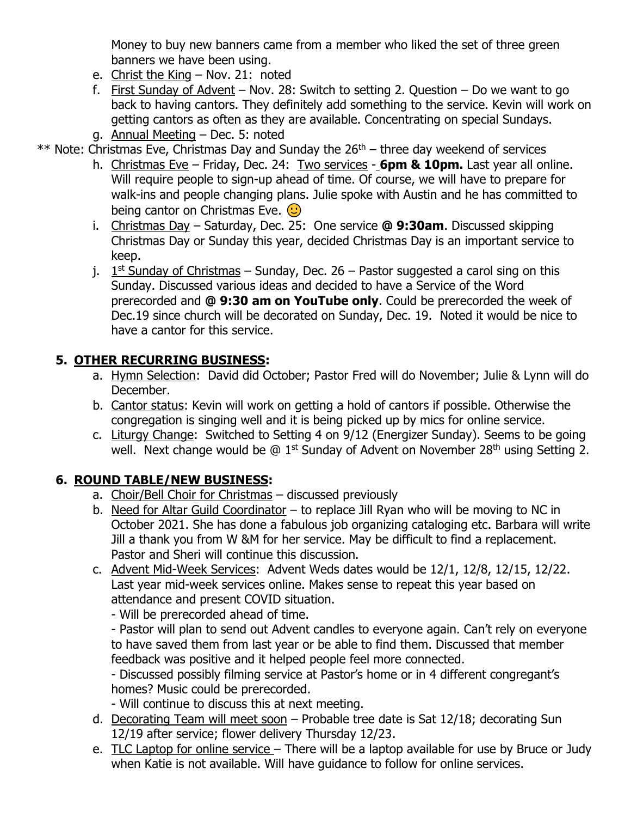Money to buy new banners came from a member who liked the set of three green banners we have been using.

- e. Christ the King Nov. 21: noted
- f. First Sunday of Advent Nov. 28: Switch to setting 2. Question Do we want to go back to having cantors. They definitely add something to the service. Kevin will work on getting cantors as often as they are available. Concentrating on special Sundays.
- g. Annual Meeting Dec. 5: noted

 $**$  Note: Christmas Eve, Christmas Day and Sunday the 26<sup>th</sup> – three day weekend of services

- h. Christmas Eve Friday, Dec. 24: Two services **6pm & 10pm.** Last year all online. Will require people to sign-up ahead of time. Of course, we will have to prepare for walk-ins and people changing plans. Julie spoke with Austin and he has committed to being cantor on Christmas Eve.  $\odot$
- i. Christmas Day Saturday, Dec. 25: One service **@ 9:30am**. Discussed skipping Christmas Day or Sunday this year, decided Christmas Day is an important service to keep.
- j.  $1<sup>st</sup>$  Sunday of Christmas Sunday, Dec. 26 Pastor suggested a carol sing on this Sunday. Discussed various ideas and decided to have a Service of the Word prerecorded and **@ 9:30 am on YouTube only**. Could be prerecorded the week of Dec.19 since church will be decorated on Sunday, Dec. 19. Noted it would be nice to have a cantor for this service.

#### **5. OTHER RECURRING BUSINESS:**

- a. Hymn Selection: David did October; Pastor Fred will do November; Julie & Lynn will do December.
- b. Cantor status: Kevin will work on getting a hold of cantors if possible. Otherwise the congregation is singing well and it is being picked up by mics for online service.
- c. Liturgy Change: Switched to Setting 4 on 9/12 (Energizer Sunday). Seems to be going well. Next change would be  $\textcircled{a}$  1<sup>st</sup> Sunday of Advent on November 28<sup>th</sup> using Setting 2.

#### **6. ROUND TABLE/NEW BUSINESS:**

- a. Choir/Bell Choir for Christmas discussed previously
- b. Need for Altar Guild Coordinator to replace Jill Ryan who will be moving to NC in October 2021. She has done a fabulous job organizing cataloging etc. Barbara will write Jill a thank you from W &M for her service. May be difficult to find a replacement. Pastor and Sheri will continue this discussion.
- c. Advent Mid-Week Services: Advent Weds dates would be 12/1, 12/8, 12/15, 12/22. Last year mid-week services online. Makes sense to repeat this year based on attendance and present COVID situation.

- Will be prerecorded ahead of time.

- Pastor will plan to send out Advent candles to everyone again. Can't rely on everyone to have saved them from last year or be able to find them. Discussed that member feedback was positive and it helped people feel more connected.

- Discussed possibly filming service at Pastor's home or in 4 different congregant's homes? Music could be prerecorded.

- Will continue to discuss this at next meeting.

- d. Decorating Team will meet soon Probable tree date is Sat 12/18; decorating Sun 12/19 after service; flower delivery Thursday 12/23.
- e. TLC Laptop for online service There will be a laptop available for use by Bruce or Judy when Katie is not available. Will have guidance to follow for online services.